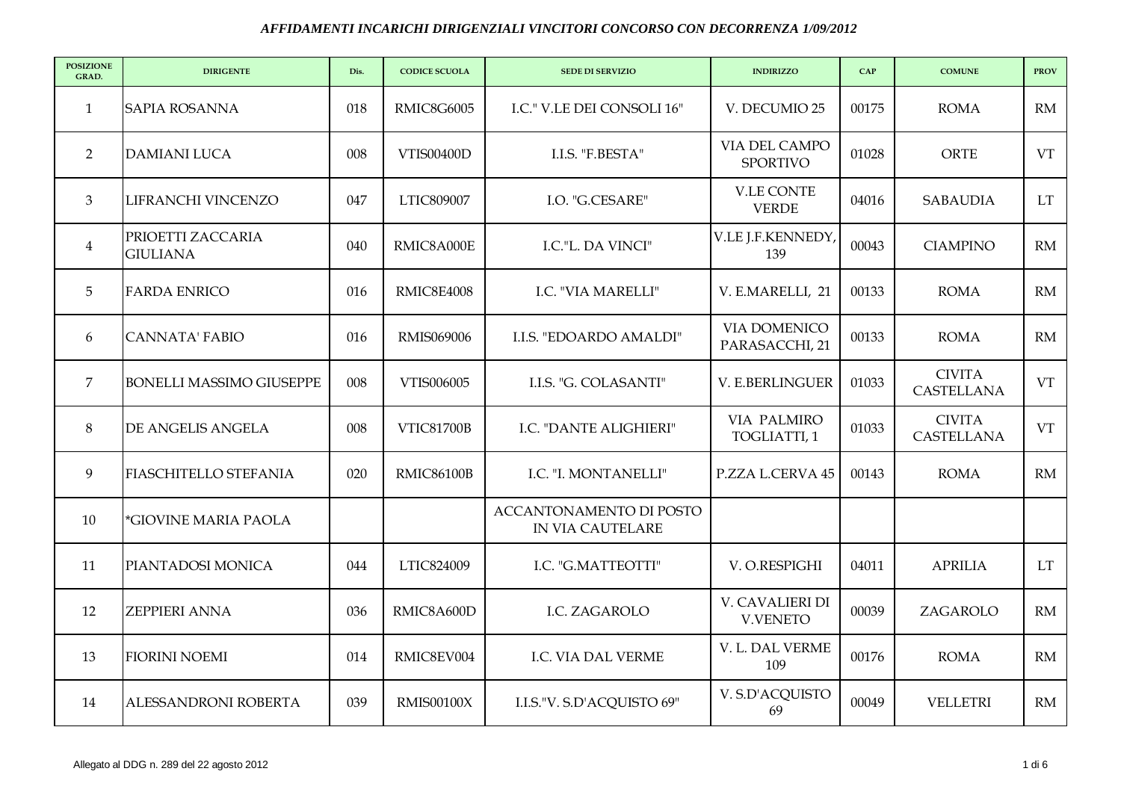| <b>POSIZIONE</b><br>GRAD. | <b>DIRIGENTE</b>                     | Dis. | <b>CODICE SCUOLA</b> | <b>SEDE DI SERVIZIO</b>                     | <b>INDIRIZZO</b>                   | CAP   | <b>COMUNE</b>               | <b>PROV</b> |
|---------------------------|--------------------------------------|------|----------------------|---------------------------------------------|------------------------------------|-------|-----------------------------|-------------|
| 1                         | <b>SAPIA ROSANNA</b>                 | 018  | RMIC8G6005           | I.C." V.LE DEI CONSOLI 16"                  | V. DECUMIO 25                      | 00175 | <b>ROMA</b>                 | RM          |
| $\overline{2}$            | <b>DAMIANI LUCA</b>                  | 008  | VTIS00400D           | I.I.S. "F.BESTA"                            | VIA DEL CAMPO<br><b>SPORTIVO</b>   | 01028 | ORTE                        | VT          |
| 3                         | LIFRANCHI VINCENZO                   | 047  | LTIC809007           | I.O. "G.CESARE"                             | <b>V.LE CONTE</b><br><b>VERDE</b>  | 04016 | <b>SABAUDIA</b>             | <b>LT</b>   |
| $\overline{4}$            | PRIOETTI ZACCARIA<br><b>GIULIANA</b> | 040  | RMIC8A000E           | I.C."L. DA VINCI"                           | V.LE J.F.KENNEDY,<br>139           | 00043 | <b>CIAMPINO</b>             | RM          |
| 5                         | <b>FARDA ENRICO</b>                  | 016  | RMIC8E4008           | I.C. "VIA MARELLI"                          | V. E.MARELLI, 21                   | 00133 | <b>ROMA</b>                 | RM          |
| 6                         | <b>CANNATA' FABIO</b>                | 016  | RMIS069006           | I.I.S. "EDOARDO AMALDI"                     | VIA DOMENICO<br>PARASACCHI, 21     | 00133 | <b>ROMA</b>                 | RM          |
| $\overline{7}$            | <b>BONELLI MASSIMO GIUSEPPE</b>      | 008  | VTIS006005           | I.I.S. "G. COLASANTI"                       | V. E.BERLINGUER                    | 01033 | <b>CIVITA</b><br>CASTELLANA | <b>VT</b>   |
| 8                         | DE ANGELIS ANGELA                    | 008  | <b>VTIC81700B</b>    | I.C. "DANTE ALIGHIERI"                      | VIA PALMIRO<br>TOGLIATTI, 1        | 01033 | <b>CIVITA</b><br>CASTELLANA | <b>VT</b>   |
| 9                         | <b>FIASCHITELLO STEFANIA</b>         | 020  | <b>RMIC86100B</b>    | I.C. "I. MONTANELLI"                        | P.ZZA L.CERVA 45                   | 00143 | <b>ROMA</b>                 | RM          |
| 10                        | *GIOVINE MARIA PAOLA                 |      |                      | ACCANTONAMENTO DI POSTO<br>IN VIA CAUTELARE |                                    |       |                             |             |
| 11                        | PIANTADOSI MONICA                    | 044  | LTIC824009           | I.C. "G.MATTEOTTI"                          | V. O.RESPIGHI                      | 04011 | <b>APRILIA</b>              | <b>LT</b>   |
| 12                        | ZEPPIERI ANNA                        | 036  | RMIC8A600D           | I.C. ZAGAROLO                               | V. CAVALIERI DI<br><b>V.VENETO</b> | 00039 | ZAGAROLO                    | RM          |
| 13                        | <b>FIORINI NOEMI</b>                 | 014  | RMIC8EV004           | I.C. VIA DAL VERME                          | V. L. DAL VERME<br>109             | 00176 | <b>ROMA</b>                 | RM          |
| 14                        | ALESSANDRONI ROBERTA                 | 039  | <b>RMIS00100X</b>    | I.I.S."V. S.D'ACQUISTO 69"                  | V. S.D'ACQUISTO<br>69              | 00049 | <b>VELLETRI</b>             | RM          |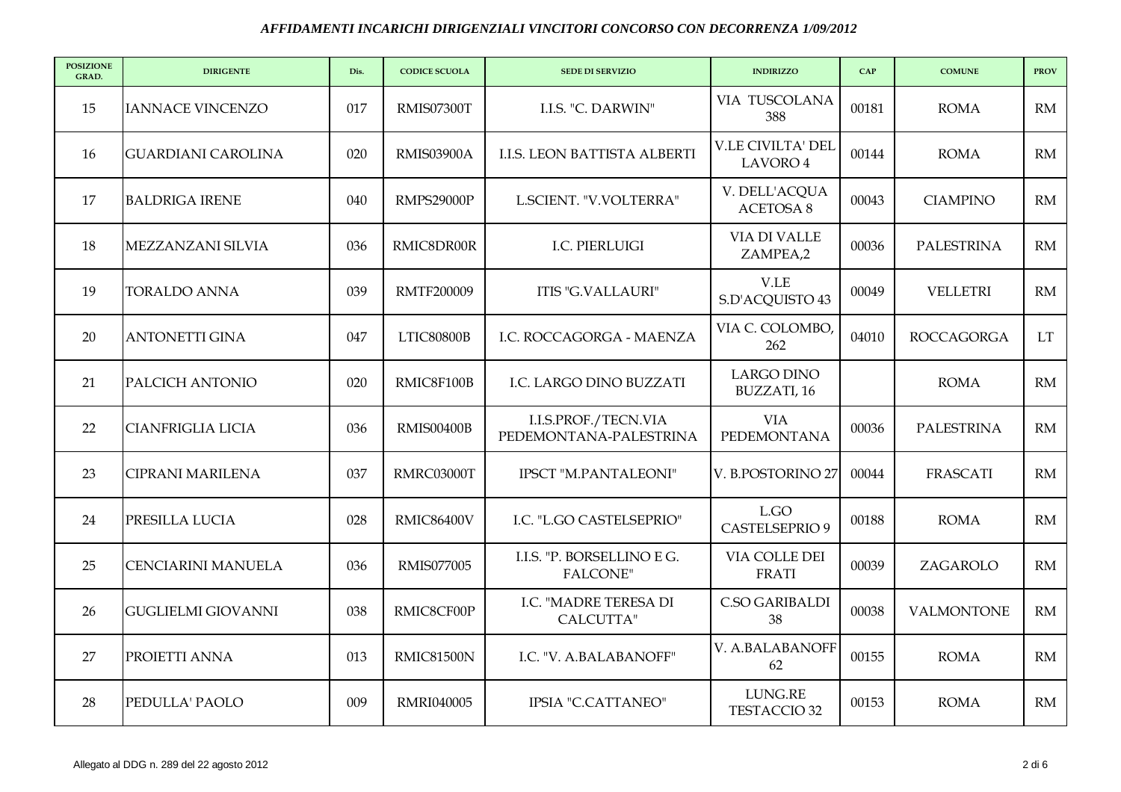| <b>POSIZIONE</b><br>GRAD. | <b>DIRIGENTE</b>          | Dis. | <b>CODICE SCUOLA</b> | <b>SEDE DI SERVIZIO</b>                        | <b>INDIRIZZO</b>                     | CAP   | <b>COMUNE</b>     | <b>PROV</b> |
|---------------------------|---------------------------|------|----------------------|------------------------------------------------|--------------------------------------|-------|-------------------|-------------|
| 15                        | <b>IANNACE VINCENZO</b>   | 017  | RMIS07300T           | I.I.S. "C. DARWIN"                             | VIA TUSCOLANA<br>388                 | 00181 | <b>ROMA</b>       | RM          |
| 16                        | <b>GUARDIANI CAROLINA</b> | 020  | RMIS03900A           | I.I.S. LEON BATTISTA ALBERTI                   | <b>V.LE CIVILTA' DEL</b><br>LAVORO 4 | 00144 | <b>ROMA</b>       | RM          |
| 17                        | <b>BALDRIGA IRENE</b>     | 040  | RMPS29000P           | L.SCIENT. "V.VOLTERRA"                         | V. DELL'ACQUA<br><b>ACETOSA 8</b>    | 00043 | <b>CIAMPINO</b>   | RM          |
| 18                        | MEZZANZANI SILVIA         | 036  | RMIC8DR00R           | I.C. PIERLUIGI                                 | VIA DI VALLE<br>ZAMPEA,2             | 00036 | <b>PALESTRINA</b> | RM          |
| 19                        | <b>TORALDO ANNA</b>       | 039  | <b>RMTF200009</b>    | <b>ITIS "G.VALLAURI"</b>                       | V.LE<br>S.D'ACQUISTO 43              | 00049 | <b>VELLETRI</b>   | RM          |
| 20                        | <b>ANTONETTI GINA</b>     | 047  | LTIC80800B           | I.C. ROCCAGORGA - MAENZA                       | VIA C. COLOMBO,<br>262               | 04010 | <b>ROCCAGORGA</b> | <b>LT</b>   |
| 21                        | PALCICH ANTONIO           | 020  | RMIC8F100B           | I.C. LARGO DINO BUZZATI                        | <b>LARGO DINO</b><br>BUZZATI, 16     |       | <b>ROMA</b>       | RM          |
| 22                        | <b>CIANFRIGLIA LICIA</b>  | 036  | <b>RMIS00400B</b>    | I.I.S.PROF./TECN.VIA<br>PEDEMONTANA-PALESTRINA | <b>VIA</b><br>PEDEMONTANA            | 00036 | <b>PALESTRINA</b> | RM          |
| 23                        | <b>CIPRANI MARILENA</b>   | 037  | RMRC03000T           | IPSCT "M.PANTALEONI"                           | V. B.POSTORINO 27                    | 00044 | <b>FRASCATI</b>   | RM          |
| 24                        | PRESILLA LUCIA            | 028  | RMIC86400V           | I.C. "L.GO CASTELSEPRIO"                       | L.GO<br><b>CASTELSEPRIO 9</b>        | 00188 | <b>ROMA</b>       | RM          |
| 25                        | CENCIARINI MANUELA        | 036  | <b>RMIS077005</b>    | I.I.S. "P. BORSELLINO E G.<br>FALCONE"         | VIA COLLE DEI<br><b>FRATI</b>        | 00039 | ZAGAROLO          | RM          |
| 26                        | <b>GUGLIELMI GIOVANNI</b> | 038  | RMIC8CF00P           | I.C. "MADRE TERESA DI<br>CALCUTTA"             | C.SO GARIBALDI<br>38                 | 00038 | <b>VALMONTONE</b> | RM          |
| 27                        | PROIETTI ANNA             | 013  | <b>RMIC81500N</b>    | I.C. "V. A.BALABANOFF"                         | V. A.BALABANOFF<br>62                | 00155 | <b>ROMA</b>       | RM          |
| 28                        | PEDULLA' PAOLO            | 009  | <b>RMRI040005</b>    | IPSIA "C.CATTANEO"                             | LUNG.RE<br>TESTACCIO 32              | 00153 | <b>ROMA</b>       | RM          |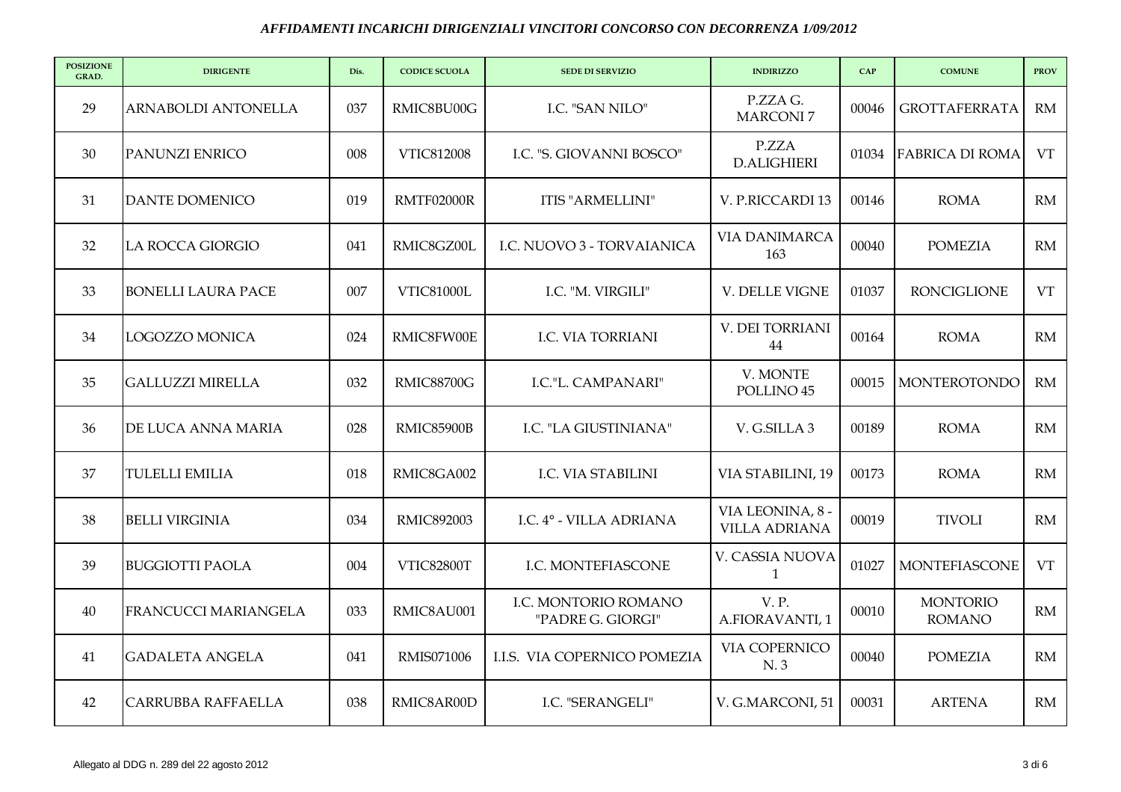| <b>POSIZIONE</b><br>GRAD. | <b>DIRIGENTE</b>          | Dis. | <b>CODICE SCUOLA</b> | <b>SEDE DI SERVIZIO</b>                   | <b>INDIRIZZO</b>                         | CAP   | <b>COMUNE</b>                    | <b>PROV</b> |
|---------------------------|---------------------------|------|----------------------|-------------------------------------------|------------------------------------------|-------|----------------------------------|-------------|
| 29                        | ARNABOLDI ANTONELLA       | 037  | RMIC8BU00G           | I.C. "SAN NILO"                           | P.ZZA G.<br><b>MARCONI7</b>              | 00046 | <b>GROTTAFERRATA</b>             | RM          |
| 30                        | PANUNZI ENRICO            | 008  | VTIC812008           | I.C. "S. GIOVANNI BOSCO"                  | P.ZZA<br><b>D.ALIGHIERI</b>              | 01034 | <b>FABRICA DI ROMA</b>           | <b>VT</b>   |
| 31                        | <b>DANTE DOMENICO</b>     | 019  | RMTF02000R           | ITIS "ARMELLINI"                          | V. P.RICCARDI 13                         | 00146 | <b>ROMA</b>                      | RM          |
| 32                        | <b>LA ROCCA GIORGIO</b>   | 041  | RMIC8GZ00L           | I.C. NUOVO 3 - TORVAIANICA                | <b>VIA DANIMARCA</b><br>163              | 00040 | <b>POMEZIA</b>                   | RM          |
| 33                        | <b>BONELLI LAURA PACE</b> | 007  | <b>VTIC81000L</b>    | I.C. "M. VIRGILI"                         | V. DELLE VIGNE                           | 01037 | <b>RONCIGLIONE</b>               | <b>VT</b>   |
| 34                        | LOGOZZO MONICA            | 024  | RMIC8FW00E           | I.C. VIA TORRIANI                         | V. DEI TORRIANI<br>44                    | 00164 | <b>ROMA</b>                      | RM          |
| 35                        | <b>GALLUZZI MIRELLA</b>   | 032  | <b>RMIC88700G</b>    | I.C."L. CAMPANARI"                        | V. MONTE<br>POLLINO <sub>45</sub>        | 00015 | <b>MONTEROTONDO</b>              | RM          |
| 36                        | DE LUCA ANNA MARIA        | 028  | RMIC85900B           | I.C. "LA GIUSTINIANA"                     | V. G.SILLA 3                             | 00189 | <b>ROMA</b>                      | RM          |
| 37                        | <b>TULELLI EMILIA</b>     | 018  | RMIC8GA002           | I.C. VIA STABILINI                        | VIA STABILINI, 19                        | 00173 | <b>ROMA</b>                      | RM          |
| 38                        | <b>BELLI VIRGINIA</b>     | 034  | <b>RMIC892003</b>    | I.C. 4° - VILLA ADRIANA                   | VIA LEONINA, 8 -<br><b>VILLA ADRIANA</b> | 00019 | <b>TIVOLI</b>                    | RM          |
| 39                        | <b>BUGGIOTTI PAOLA</b>    | 004  | <b>VTIC82800T</b>    | I.C. MONTEFIASCONE                        | V. CASSIA NUOVA<br>$\mathbf{1}$          | 01027 | <b>MONTEFIASCONE</b>             | <b>VT</b>   |
| 40                        | FRANCUCCI MARIANGELA      | 033  | RMIC8AU001           | I.C. MONTORIO ROMANO<br>"PADRE G. GIORGI" | <b>V.P.</b><br>A.FIORAVANTI, 1           | 00010 | <b>MONTORIO</b><br><b>ROMANO</b> | RM          |
| 41                        | <b>GADALETA ANGELA</b>    | 041  | RMIS071006           | I.I.S. VIA COPERNICO POMEZIA              | VIA COPERNICO<br>N. 3                    | 00040 | <b>POMEZIA</b>                   | RM          |
| 42                        | <b>CARRUBBA RAFFAELLA</b> | 038  | RMIC8AR00D           | I.C. "SERANGELI"                          | V. G.MARCONI, 51                         | 00031 | <b>ARTENA</b>                    | RM          |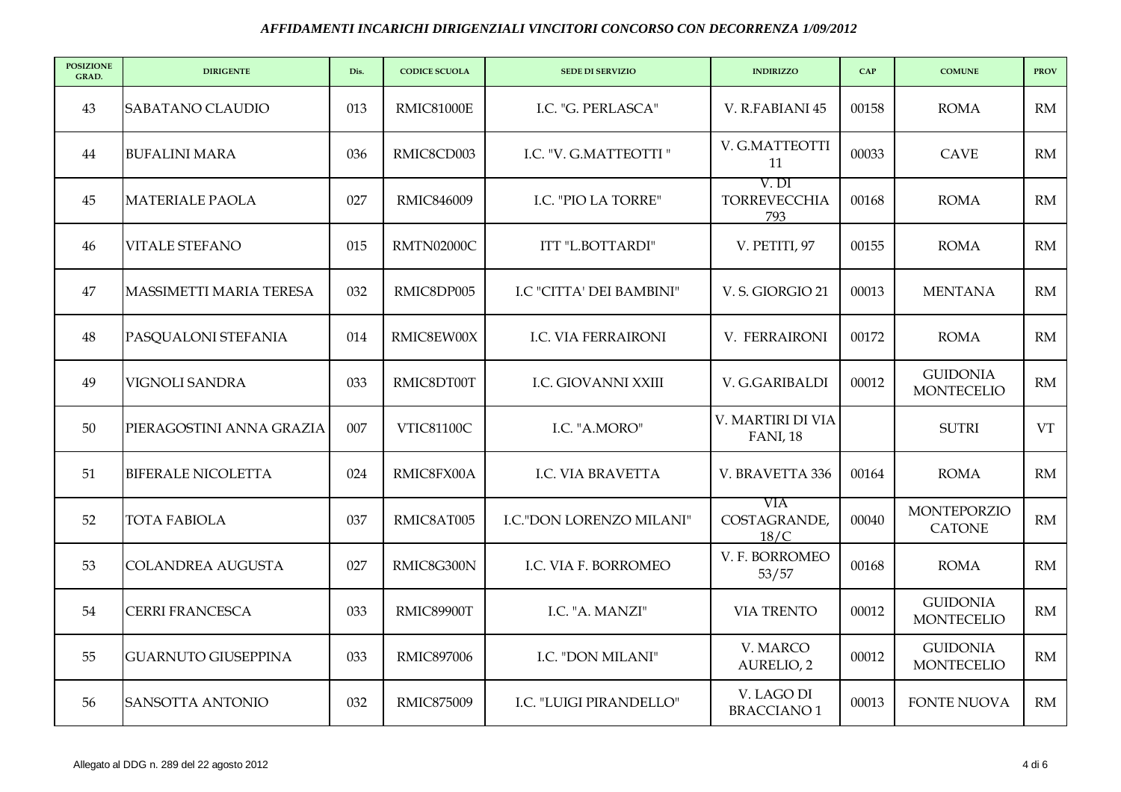| <b>POSIZIONE</b><br>GRAD. | <b>DIRIGENTE</b>           | Dis. | <b>CODICE SCUOLA</b> | <b>SEDE DI SERVIZIO</b>    | <b>INDIRIZZO</b>                      | CAP   | <b>COMUNE</b>                        | <b>PROV</b> |
|---------------------------|----------------------------|------|----------------------|----------------------------|---------------------------------------|-------|--------------------------------------|-------------|
| 43                        | <b>SABATANO CLAUDIO</b>    | 013  | <b>RMIC81000E</b>    | I.C. "G. PERLASCA"         | V. R.FABIANI 45                       | 00158 | <b>ROMA</b>                          | RM          |
| 44                        | <b>BUFALINI MARA</b>       | 036  | RMIC8CD003           | I.C. "V. G.MATTEOTTI "     | V. G.MATTEOTTI<br>11                  | 00033 | <b>CAVE</b>                          | RM          |
| 45                        | <b>MATERIALE PAOLA</b>     | 027  | RMIC846009           | I.C. "PIO LA TORRE"        | V. DI<br><b>TORREVECCHIA</b><br>793   | 00168 | <b>ROMA</b>                          | RM          |
| 46                        | <b>VITALE STEFANO</b>      | 015  | RMTN02000C           | ITT "L.BOTTARDI"           | V. PETITI, 97                         | 00155 | <b>ROMA</b>                          | RM          |
| 47                        | MASSIMETTI MARIA TERESA    | 032  | RMIC8DP005           | I.C "CITTA' DEI BAMBINI"   | V.S. GIORGIO 21                       | 00013 | <b>MENTANA</b>                       | RM          |
| 48                        | PASQUALONI STEFANIA        | 014  | RMIC8EW00X           | <b>I.C. VIA FERRAIRONI</b> | V. FERRAIRONI                         | 00172 | <b>ROMA</b>                          | RM          |
| 49                        | VIGNOLI SANDRA             | 033  | RMIC8DT00T           | I.C. GIOVANNI XXIII        | V. G.GARIBALDI                        | 00012 | <b>GUIDONIA</b><br><b>MONTECELIO</b> | RM          |
| 50                        | PIERAGOSTINI ANNA GRAZIA   | 007  | <b>VTIC81100C</b>    | I.C. "A.MORO"              | V. MARTIRI DI VIA<br><b>FANI</b> , 18 |       | <b>SUTRI</b>                         | <b>VT</b>   |
| 51                        | <b>BIFERALE NICOLETTA</b>  | 024  | RMIC8FX00A           | <b>I.C. VIA BRAVETTA</b>   | V. BRAVETTA 336                       | 00164 | <b>ROMA</b>                          | RM          |
| 52                        | <b>TOTA FABIOLA</b>        | 037  | RMIC8AT005           | I.C."DON LORENZO MILANI"   | VIA<br>COSTAGRANDE,<br>18/C           | 00040 | <b>MONTEPORZIO</b><br><b>CATONE</b>  | RM          |
| 53                        | <b>COLANDREA AUGUSTA</b>   | 027  | RMIC8G300N           | I.C. VIA F. BORROMEO       | V. F. BORROMEO<br>53/57               | 00168 | <b>ROMA</b>                          | RM          |
| 54                        | <b>CERRI FRANCESCA</b>     | 033  | RMIC89900T           | I.C. "A. MANZI"            | <b>VIA TRENTO</b>                     | 00012 | <b>GUIDONIA</b><br><b>MONTECELIO</b> | RM          |
| 55                        | <b>GUARNUTO GIUSEPPINA</b> | 033  | <b>RMIC897006</b>    | I.C. "DON MILANI"          | V. MARCO<br>AURELIO, 2                | 00012 | <b>GUIDONIA</b><br><b>MONTECELIO</b> | RM          |
| 56                        | <b>SANSOTTA ANTONIO</b>    | 032  | <b>RMIC875009</b>    | I.C. "LUIGI PIRANDELLO"    | V. LAGO DI<br><b>BRACCIANO1</b>       | 00013 | <b>FONTE NUOVA</b>                   | RM          |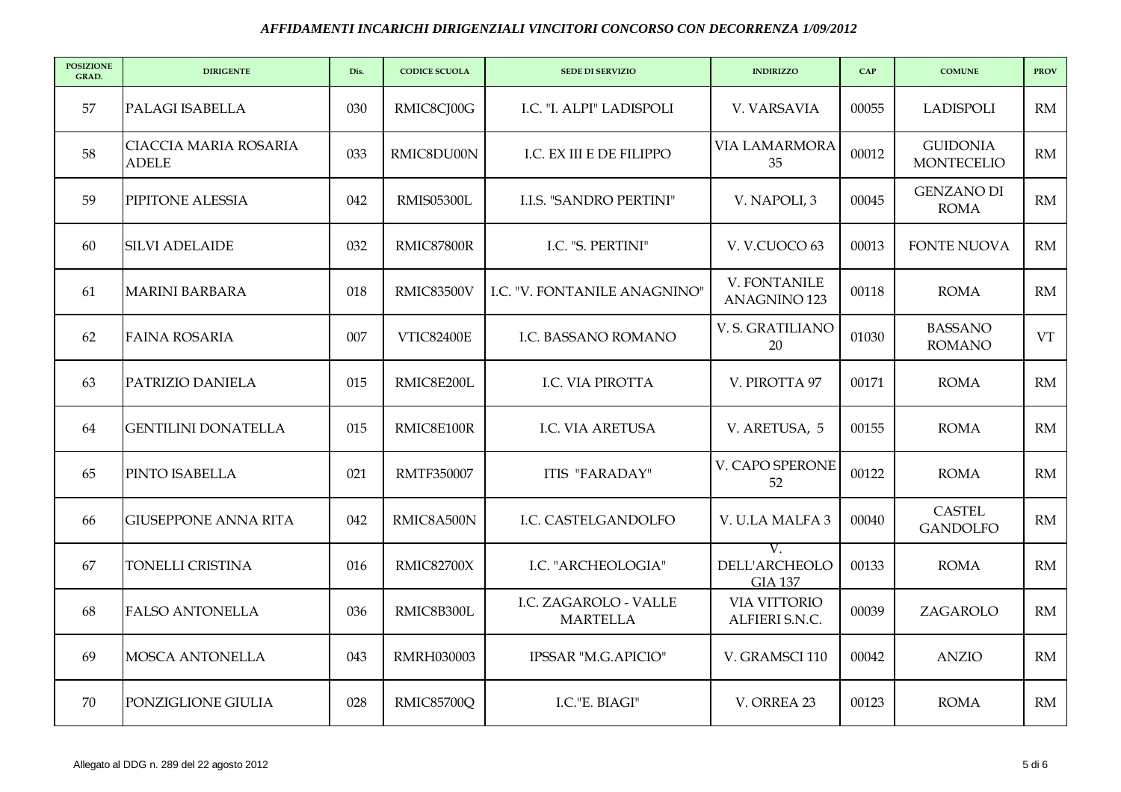| <b>POSIZIONE</b><br>GRAD. | <b>DIRIGENTE</b>                             | Dis. | <b>CODICE SCUOLA</b> | <b>SEDE DI SERVIZIO</b>                  | <b>INDIRIZZO</b>                      | CAP   | <b>COMUNE</b>                        | <b>PROV</b> |
|---------------------------|----------------------------------------------|------|----------------------|------------------------------------------|---------------------------------------|-------|--------------------------------------|-------------|
| 57                        | PALAGI ISABELLA                              | 030  | RMIC8CJ00G           | I.C. "I. ALPI" LADISPOLI                 | V. VARSAVIA                           | 00055 | <b>LADISPOLI</b>                     | RM          |
| 58                        | <b>CIACCIA MARIA ROSARIA</b><br><b>ADELE</b> | 033  | RMIC8DU00N           | I.C. EX III E DE FILIPPO                 | <b>VIA LAMARMORA</b><br>35            | 00012 | <b>GUIDONIA</b><br><b>MONTECELIO</b> | RM          |
| 59                        | PIPITONE ALESSIA                             | 042  | <b>RMIS05300L</b>    | <b>I.I.S. "SANDRO PERTINI"</b>           | V. NAPOLI, 3                          | 00045 | <b>GENZANO DI</b><br><b>ROMA</b>     | RM          |
| 60                        | <b>SILVI ADELAIDE</b>                        | 032  | RMIC87800R           | I.C. "S. PERTINI"                        | V. V.CUOCO 63                         | 00013 | <b>FONTE NUOVA</b>                   | RM          |
| 61                        | <b>MARINI BARBARA</b>                        | 018  | RMIC83500V           | I.C. "V. FONTANILE ANAGNINO"             | V. FONTANILE<br><b>ANAGNINO 123</b>   | 00118 | <b>ROMA</b>                          | RM          |
| 62                        | <b>FAINA ROSARIA</b>                         | 007  | <b>VTIC82400E</b>    | I.C. BASSANO ROMANO                      | V. S. GRATILIANO<br>20                | 01030 | <b>BASSANO</b><br><b>ROMANO</b>      | VT          |
| 63                        | PATRIZIO DANIELA                             | 015  | RMIC8E200L           | <b>I.C. VIA PIROTTA</b>                  | V. PIROTTA 97                         | 00171 | <b>ROMA</b>                          | RM          |
| 64                        | <b>GENTILINI DONATELLA</b>                   | 015  | RMIC8E100R           | <b>I.C. VIA ARETUSA</b>                  | V. ARETUSA, 5                         | 00155 | <b>ROMA</b>                          | RM          |
| 65                        | PINTO ISABELLA                               | 021  | <b>RMTF350007</b>    | ITIS "FARADAY"                           | V. CAPO SPERONE<br>52                 | 00122 | <b>ROMA</b>                          | RM          |
| 66                        | <b>GIUSEPPONE ANNA RITA</b>                  | 042  | RMIC8A500N           | I.C. CASTELGANDOLFO                      | V. U.LA MALFA 3                       | 00040 | <b>CASTEL</b><br><b>GANDOLFO</b>     | RM          |
| 67                        | TONELLI CRISTINA                             | 016  | <b>RMIC82700X</b>    | I.C. "ARCHEOLOGIA"                       | V.<br>DELL'ARCHEOLO<br><b>GIA 137</b> | 00133 | <b>ROMA</b>                          | RM          |
| 68                        | <b>FALSO ANTONELLA</b>                       | 036  | RMIC8B300L           | I.C. ZAGAROLO - VALLE<br><b>MARTELLA</b> | <b>VIA VITTORIO</b><br>ALFIERI S.N.C. | 00039 | ZAGAROLO                             | RM          |
| 69                        | <b>MOSCA ANTONELLA</b>                       | 043  | <b>RMRH030003</b>    | IPSSAR "M.G.APICIO"                      | V. GRAMSCI 110                        | 00042 | <b>ANZIO</b>                         | RM          |
| 70                        | PONZIGLIONE GIULIA                           | 028  | RMIC85700Q           | I.C."E. BIAGI"                           | V. ORREA 23                           | 00123 | <b>ROMA</b>                          | RM          |